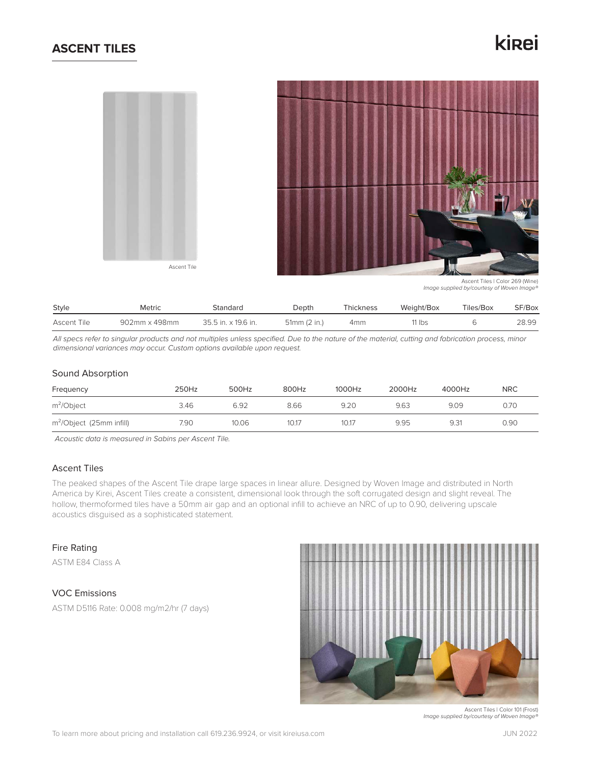## **ASCENT TILES**

# kinei



Ascent Tiles | Color 269 (Wine) *Image supplied by/courtesy of Woven Image®*

| Style       | <b>Metric</b> | Standard            | Depth        | Thickness | Weight/Box | Tiles/Box | SF/Box |
|-------------|---------------|---------------------|--------------|-----------|------------|-----------|--------|
| Ascent Tile | 902mm x 498mm | 35.5 in. x 19.6 in. | 51mm (2 in.) | 4mm       | 11 lbs     |           | 28.99  |

*All specs refer to singular products and not multiples unless specified. Due to the nature of the material, cutting and fabrication process, minor dimensional variances may occur. Custom options available upon request.*

## Sound Absorption

| Frequency                   | 250Hz | 500Hz | 800Hz | 1000Hz | 2000Hz | 4000Hz | <b>NRC</b> |
|-----------------------------|-------|-------|-------|--------|--------|--------|------------|
| $m^2$ <i>Object</i>         | 3.46  | 6.92  | 8.66  | 9.20   | 9.63   | 9.09   | 0.70       |
| $m^2$ /Object (25mm infill) | 7.90  | 10.06 | 10.17 | 10.17  | 9.95   | 9.31   | 0.90       |

*Acoustic data is measured in Sabins per Ascent Tile.*

## Ascent Tiles

The peaked shapes of the Ascent Tile drape large spaces in linear allure. Designed by Woven Image and distributed in North America by Kirei, Ascent Tiles create a consistent, dimensional look through the soft corrugated design and slight reveal. The hollow, thermoformed tiles have a 50mm air gap and an optional infill to achieve an NRC of up to 0.90, delivering upscale acoustics disguised as a sophisticated statement.

## Fire Rating

ASTM E84 Class A

## VOC Emissions

ASTM D5116 Rate: 0.008 mg/m2/hr (7 days)



Ascent Tiles | Color 101 (Frost) *Image supplied by/courtesy of Woven Image®*